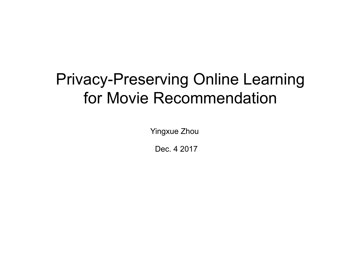# Privacy-Preserving Online Learning for Movie Recommendation

Yingxue Zhou

Dec. 4 2017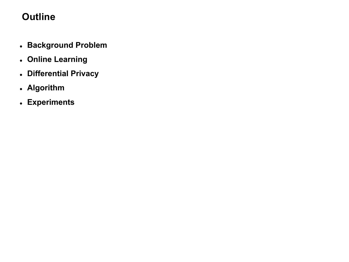# **Outline**

- **Background Problem**
- **Online Learning**
- **Differential Privacy**
- **Algorithm**
- **Experiments**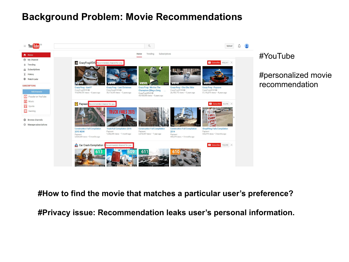## **Background Problem: Movie Recommendations**



#### #YouTube

#personalized movie recommendation

#### **#How to find the movie that matches a particular user's preference?**

**#Privacy issue: Recommendation leaks user's personal information.**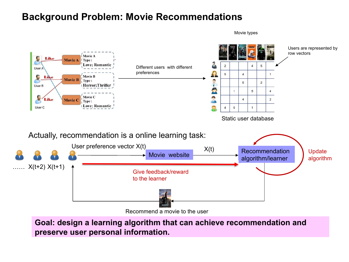## **Background Problem: Movie Recommendations**

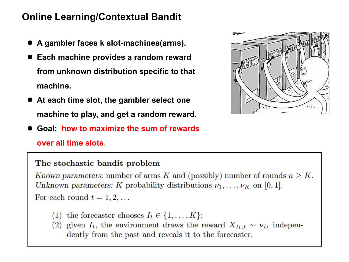# **Online Learning/Contextual Bandit**

- **A gambler faces k slot-machines(arms).**
- **Each machine provides a random reward from unknown distribution specific to that machine.**
- **At each time slot, the gambler select one machine to play, and get a random reward.**
- **Goal: how to maximize the sum of rewards over all time slots.**

#### The stochastic bandit problem

Known parameters: number of arms K and (possibly) number of rounds  $n \geq K$ . Unknown parameters: K probability distributions  $\nu_1, \ldots, \nu_K$  on [0, 1].

For each round  $t = 1, 2, \ldots$ 

- (1) the forecaster chooses  $I_t \in \{1, ..., K\};$
- (2) given  $I_t$ , the environment draws the reward  $X_{I_t,t} \sim \nu_{I_t}$  independently from the past and reveals it to the forecaster.

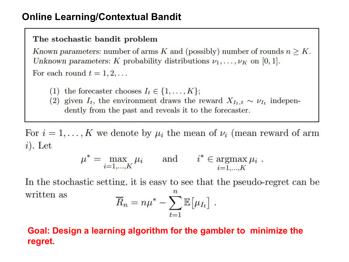# **Online Learning/Contextual Bandit**

#### The stochastic bandit problem

Known parameters: number of arms K and (possibly) number of rounds  $n \geq K$ . Unknown parameters: K probability distributions  $\nu_1, \ldots, \nu_K$  on [0, 1]. For each round  $t = 1, 2, \ldots$ 

- (1) the forecaster chooses  $I_t \in \{1, ..., K\};$
- (2) given  $I_t$ , the environment draws the reward  $X_{I_t,t} \sim \nu_{I_t}$  independently from the past and reveals it to the forecaster.

For  $i = 1, ..., K$  we denote by  $\mu_i$  the mean of  $\nu_i$  (mean reward of arm  $i)$ . Let

$$
\mu^* = \max_{i=1,\dots,K} \mu_i \quad \text{and} \quad i^* \in \operatorname*{argmax}_{i=1,\dots,K} \mu_i .
$$

In the stochastic setting, it is easy to see that the pseudo-regret can be  $\boldsymbol{n}$ written as

$$
\overline{R}_n = n\mu^* - \sum_{t=1}^{\infty} \mathbb{E}[\mu_{I_t}].
$$

### Goal: Design a learning algorithm for the gambler to minimize the regret.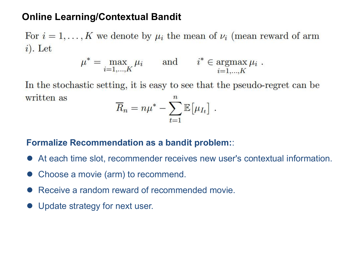# **Online Learning/Contextual Bandit**

For  $i = 1, ..., K$  we denote by  $\mu_i$  the mean of  $\nu_i$  (mean reward of arm  $i)$ . Let

$$
\mu^* = \max_{i=1,\dots,K} \mu_i \quad \text{and} \quad i^* \in \operatorname*{argmax}_{i=1,\dots,K} \mu_i .
$$

In the stochastic setting, it is easy to see that the pseudo-regret can be written as  $\boldsymbol{n}$ 

$$
\overline{R}_n = n\mu^* - \sum_{t=1}^{\infty} \mathbb{E}[\mu_{I_t}].
$$

### **Formalize Recommendation as a bandit problem:**:

- At each time slot, recommender receives new user's contextual information.
- Choose a movie (arm) to recommend.
- Receive a random reward of recommended movie.
- Update strategy for next user.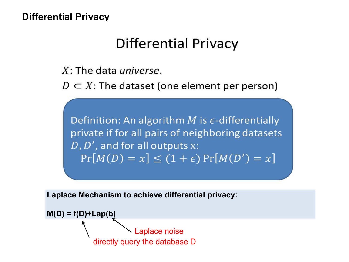## **Differential Privacy**

# **Differential Privacy**

 $X$ : The data *universe*.

 $D \subset X$ : The dataset (one element per person)

Definition: An algorithm M is  $\epsilon$ -differentially private if for all pairs of neighboring datasets  $D, D',$  and for all outputs  $x$ :  $Pr[M(D) = x] \le (1 + \epsilon) Pr[M(D') = x]$ 

**Laplace Mechanism to achieve differential privacy:**

$$
M(D) = f(D) + Lap(b)
$$
\nLaplace noise

\ndirectly query the database D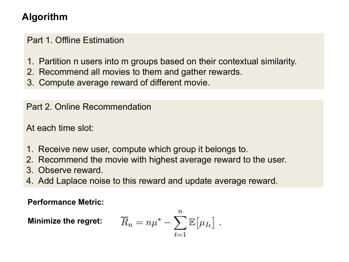# **Algorithm**

Part 1. Offline Estimation

- 1. Partition n users into m groups based on their contextual similarity.
- 2. Recommend all movies to them and gather rewards.
- 3. Compute average reward of different movie.

Part 2. Online Recommendation

At each time slot:

- 1. Receive new user, compute which group it belongs to.
- 2. Recommend the movie with highest average reward to the user.
- 3. Observe reward.
- 4. Add Laplace noise to this reward and update average reward.

**Performance Metric:**

**Minimize the regret:**  $\overline{R}_n = n\mu^* - \sum_i \mathbb{E}\big[\mu_{I_t}\big]$  .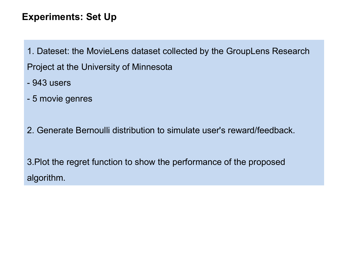# **Experiments: Set Up**

- 1. Dateset: the MovieLens dataset collected by the GroupLens Research Project at the University of Minnesota
- 943 users
- 5 movie genres
- 2. Generate Bernoulli distribution to simulate user's reward/feedback.

3.Plot the regret function to show the performance of the proposed algorithm.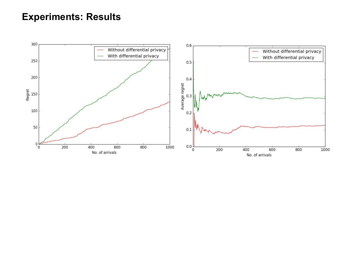# **Experiments: Results**

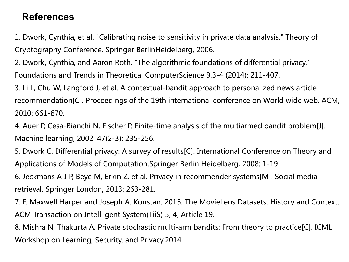# **References**

1. Dwork, Cynthia, et al. "Calibrating noise to sensitivity in private data analysis." Theory of Cryptography Conference. Springer BerlinHeidelberg, 2006.

2. Dwork, Cynthia, and Aaron Roth. "The algorithmic foundations of differential privacy." Foundations and Trends in Theoretical ComputerScience 9.3-4 (2014): 211-407.

3. Li L, Chu W, Langford J, et al. A contextual-bandit approach to personalized news article recommendation[C]. Proceedings of the 19th international conference on World wide web. ACM, 2010: 661-670.

4. Auer P, Cesa-Bianchi N, Fischer P. Finite-time analysis of the multiarmed bandit problem[J]. Machine learning, 2002, 47(2-3): 235-256.

5. Dwork C. Differential privacy: A survey of results[C]. International Conference on Theory and Applications of Models of Computation.Springer Berlin Heidelberg, 2008: 1-19.

6. Jeckmans A J P, Beye M, Erkin Z, et al. Privacy in recommender systems[M]. Social media retrieval. Springer London, 2013: 263-281.

7. F. Maxwell Harper and Joseph A. Konstan. 2015. The MovieLens Datasets: History and Context. ACM Transaction on Intellligent System(TiiS) 5, 4, Article 19.

8. Mishra N, Thakurta A. Private stochastic multi-arm bandits: From theory to practice[C]. ICML Workshop on Learning, Security, and Privacy.2014